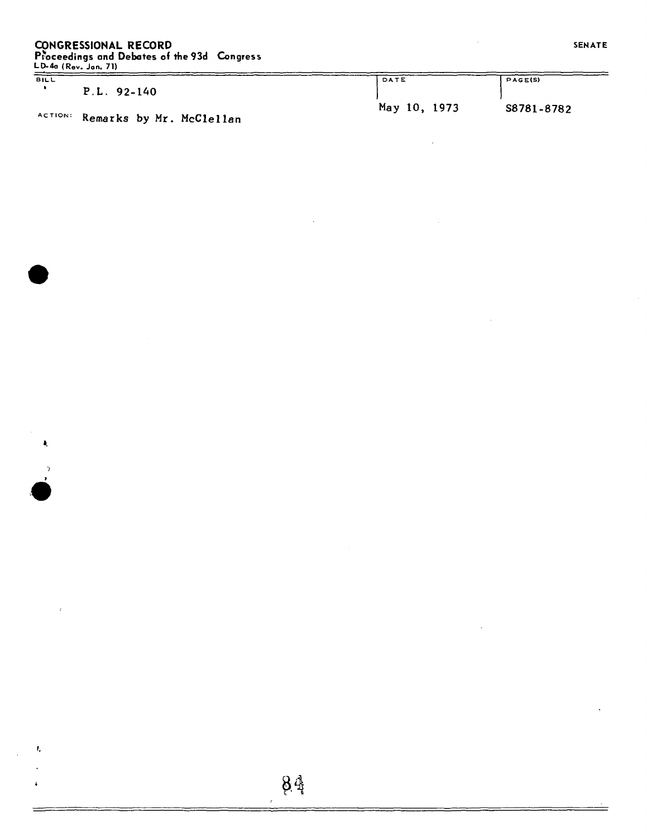## **CONGRESSIONAL RECORD**

**Proceedings and Debates of the 93d Congress LD-4o (Rev. Jon. 71)** 

**BIL L** 

 $\pmb{\lambda}$ 

 $\frac{1}{2}$ 

 $\mathbf{f}_\mathrm{a}$ 

| BLL |                                  | DATE         | PAGE(S)    |
|-----|----------------------------------|--------------|------------|
|     | $P.L. 92-140$                    |              |            |
|     |                                  | May 10, 1973 | S8781-8782 |
|     | ACTION: Remarks by Mr. McClellan |              |            |

≈

 $\ddot{\phantom{a}}$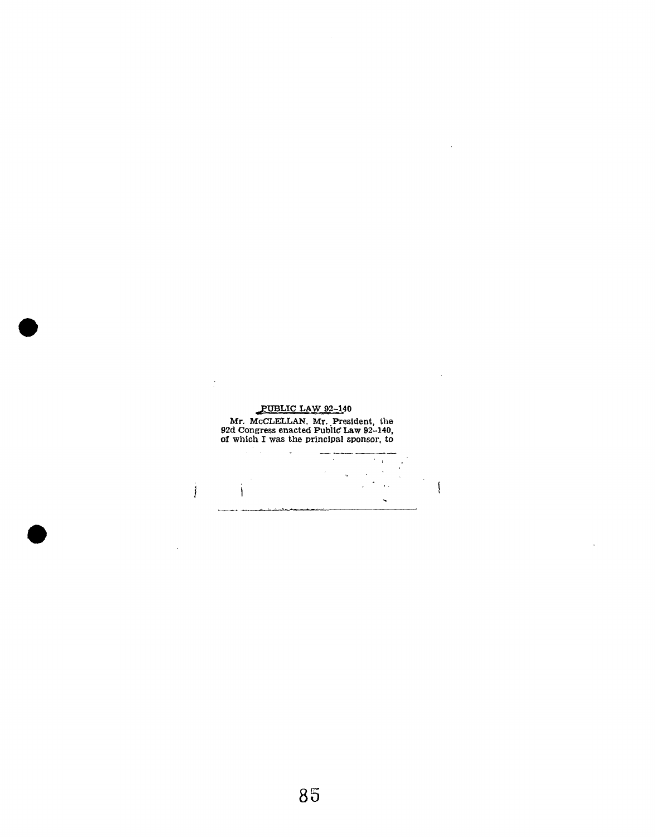

 $\overline{\mathcal{L}}$ 

 $\bar{\mathcal{A}}$ 

 $\sim$   $\sim$ 

 $\sim$ 

 $\overline{\phantom{a}}$